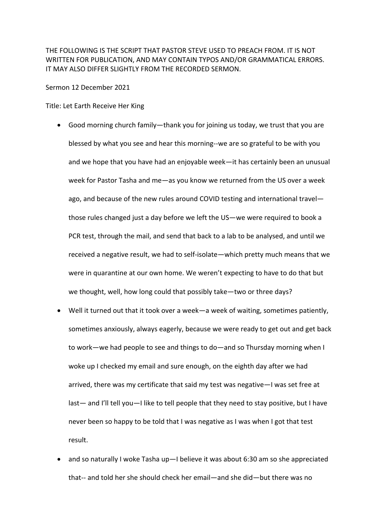THE FOLLOWING IS THE SCRIPT THAT PASTOR STEVE USED TO PREACH FROM. IT IS NOT WRITTEN FOR PUBLICATION, AND MAY CONTAIN TYPOS AND/OR GRAMMATICAL ERRORS. IT MAY ALSO DIFFER SLIGHTLY FROM THE RECORDED SERMON.

Sermon 12 December 2021

Title: Let Earth Receive Her King

- Good morning church family—thank you for joining us today, we trust that you are blessed by what you see and hear this morning--we are so grateful to be with you and we hope that you have had an enjoyable week—it has certainly been an unusual week for Pastor Tasha and me—as you know we returned from the US over a week ago, and because of the new rules around COVID testing and international travel those rules changed just a day before we left the US—we were required to book a PCR test, through the mail, and send that back to a lab to be analysed, and until we received a negative result, we had to self-isolate—which pretty much means that we were in quarantine at our own home. We weren't expecting to have to do that but we thought, well, how long could that possibly take—two or three days?
- Well it turned out that it took over a week—a week of waiting, sometimes patiently, sometimes anxiously, always eagerly, because we were ready to get out and get back to work—we had people to see and things to do—and so Thursday morning when I woke up I checked my email and sure enough, on the eighth day after we had arrived, there was my certificate that said my test was negative—I was set free at last— and I'll tell you—I like to tell people that they need to stay positive, but I have never been so happy to be told that I was negative as I was when I got that test result.
- and so naturally I woke Tasha up—I believe it was about 6:30 am so she appreciated that-- and told her she should check her email—and she did—but there was no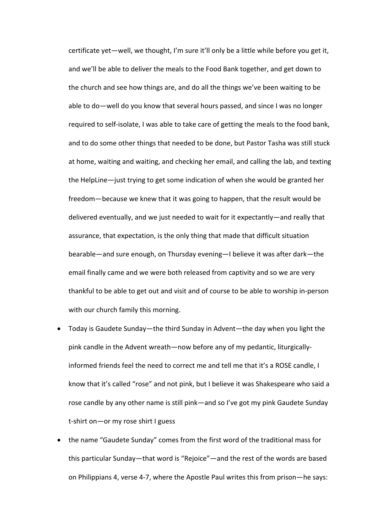certificate yet—well, we thought, I'm sure it'll only be a little while before you get it, and we'll be able to deliver the meals to the Food Bank together, and get down to the church and see how things are, and do all the things we've been waiting to be able to do—well do you know that several hours passed, and since I was no longer required to self-isolate, I was able to take care of getting the meals to the food bank, and to do some other things that needed to be done, but Pastor Tasha was still stuck at home, waiting and waiting, and checking her email, and calling the lab, and texting the HelpLine—just trying to get some indication of when she would be granted her freedom—because we knew that it was going to happen, that the result would be delivered eventually, and we just needed to wait for it expectantly—and really that assurance, that expectation, is the only thing that made that difficult situation bearable—and sure enough, on Thursday evening—I believe it was after dark—the email finally came and we were both released from captivity and so we are very thankful to be able to get out and visit and of course to be able to worship in-person with our church family this morning.

- Today is Gaudete Sunday—the third Sunday in Advent—the day when you light the pink candle in the Advent wreath—now before any of my pedantic, liturgicallyinformed friends feel the need to correct me and tell me that it's a ROSE candle, I know that it's called "rose" and not pink, but I believe it was Shakespeare who said a rose candle by any other name is still pink—and so I've got my pink Gaudete Sunday t-shirt on—or my rose shirt I guess
- the name "Gaudete Sunday" comes from the first word of the traditional mass for this particular Sunday—that word is "Rejoice"—and the rest of the words are based on Philippians 4, verse 4-7, where the Apostle Paul writes this from prison—he says: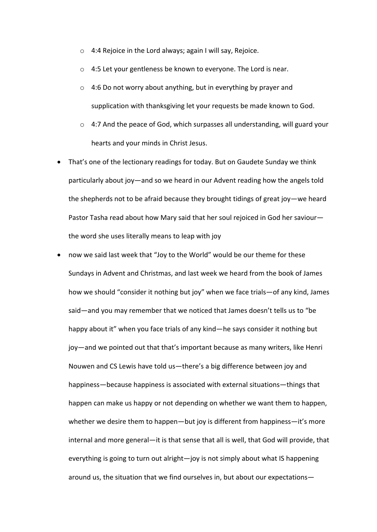- o 4:4 Rejoice in the Lord always; again I will say, Rejoice.
- o 4:5 Let your gentleness be known to everyone. The Lord is near.
- o 4:6 Do not worry about anything, but in everything by prayer and supplication with thanksgiving let your requests be made known to God.
- $\circ$  4:7 And the peace of God, which surpasses all understanding, will guard your hearts and your minds in Christ Jesus.
- That's one of the lectionary readings for today. But on Gaudete Sunday we think particularly about joy—and so we heard in our Advent reading how the angels told the shepherds not to be afraid because they brought tidings of great joy—we heard Pastor Tasha read about how Mary said that her soul rejoiced in God her saviour the word she uses literally means to leap with joy
- now we said last week that "Joy to the World" would be our theme for these Sundays in Advent and Christmas, and last week we heard from the book of James how we should "consider it nothing but joy" when we face trials—of any kind, James said—and you may remember that we noticed that James doesn't tells us to "be happy about it" when you face trials of any kind—he says consider it nothing but joy—and we pointed out that that's important because as many writers, like Henri Nouwen and CS Lewis have told us—there's a big difference between joy and happiness—because happiness is associated with external situations—things that happen can make us happy or not depending on whether we want them to happen, whether we desire them to happen—but joy is different from happiness—it's more internal and more general—it is that sense that all is well, that God will provide, that everything is going to turn out alright—joy is not simply about what IS happening around us, the situation that we find ourselves in, but about our expectations—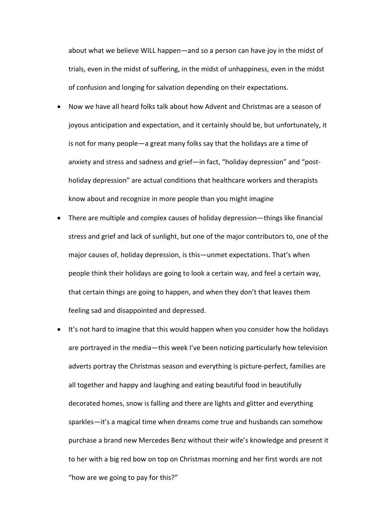about what we believe WILL happen—and so a person can have joy in the midst of trials, even in the midst of suffering, in the midst of unhappiness, even in the midst of confusion and longing for salvation depending on their expectations.

- Now we have all heard folks talk about how Advent and Christmas are a season of joyous anticipation and expectation, and it certainly should be, but unfortunately, it is not for many people—a great many folks say that the holidays are a time of anxiety and stress and sadness and grief—in fact, "holiday depression" and "postholiday depression" are actual conditions that healthcare workers and therapists know about and recognize in more people than you might imagine
- There are multiple and complex causes of holiday depression—things like financial stress and grief and lack of sunlight, but one of the major contributors to, one of the major causes of, holiday depression, is this—unmet expectations. That's when people think their holidays are going to look a certain way, and feel a certain way, that certain things are going to happen, and when they don't that leaves them feeling sad and disappointed and depressed.
- It's not hard to imagine that this would happen when you consider how the holidays are portrayed in the media—this week I've been noticing particularly how television adverts portray the Christmas season and everything is picture-perfect, families are all together and happy and laughing and eating beautiful food in beautifully decorated homes, snow is falling and there are lights and glitter and everything sparkles—it's a magical time when dreams come true and husbands can somehow purchase a brand new Mercedes Benz without their wife's knowledge and present it to her with a big red bow on top on Christmas morning and her first words are not "how are we going to pay for this?"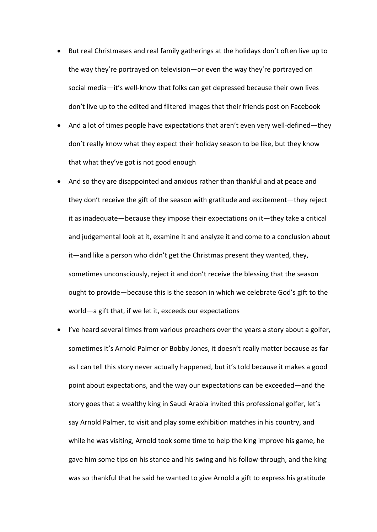- But real Christmases and real family gatherings at the holidays don't often live up to the way they're portrayed on television—or even the way they're portrayed on social media—it's well-know that folks can get depressed because their own lives don't live up to the edited and filtered images that their friends post on Facebook
- And a lot of times people have expectations that aren't even very well-defined—they don't really know what they expect their holiday season to be like, but they know that what they've got is not good enough
- And so they are disappointed and anxious rather than thankful and at peace and they don't receive the gift of the season with gratitude and excitement—they reject it as inadequate—because they impose their expectations on it—they take a critical and judgemental look at it, examine it and analyze it and come to a conclusion about it—and like a person who didn't get the Christmas present they wanted, they, sometimes unconsciously, reject it and don't receive the blessing that the season ought to provide—because this is the season in which we celebrate God's gift to the world—a gift that, if we let it, exceeds our expectations
- I've heard several times from various preachers over the years a story about a golfer, sometimes it's Arnold Palmer or Bobby Jones, it doesn't really matter because as far as I can tell this story never actually happened, but it's told because it makes a good point about expectations, and the way our expectations can be exceeded—and the story goes that a wealthy king in Saudi Arabia invited this professional golfer, let's say Arnold Palmer, to visit and play some exhibition matches in his country, and while he was visiting, Arnold took some time to help the king improve his game, he gave him some tips on his stance and his swing and his follow-through, and the king was so thankful that he said he wanted to give Arnold a gift to express his gratitude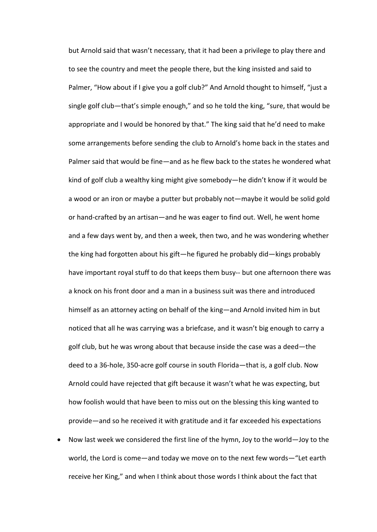but Arnold said that wasn't necessary, that it had been a privilege to play there and to see the country and meet the people there, but the king insisted and said to Palmer, "How about if I give you a golf club?" And Arnold thought to himself, "just a single golf club—that's simple enough," and so he told the king, "sure, that would be appropriate and I would be honored by that." The king said that he'd need to make some arrangements before sending the club to Arnold's home back in the states and Palmer said that would be fine—and as he flew back to the states he wondered what kind of golf club a wealthy king might give somebody—he didn't know if it would be a wood or an iron or maybe a putter but probably not—maybe it would be solid gold or hand-crafted by an artisan—and he was eager to find out. Well, he went home and a few days went by, and then a week, then two, and he was wondering whether the king had forgotten about his gift—he figured he probably did—kings probably have important royal stuff to do that keeps them busy-- but one afternoon there was a knock on his front door and a man in a business suit was there and introduced himself as an attorney acting on behalf of the king—and Arnold invited him in but noticed that all he was carrying was a briefcase, and it wasn't big enough to carry a golf club, but he was wrong about that because inside the case was a deed—the deed to a 36-hole, 350-acre golf course in south Florida—that is, a golf club. Now Arnold could have rejected that gift because it wasn't what he was expecting, but how foolish would that have been to miss out on the blessing this king wanted to provide—and so he received it with gratitude and it far exceeded his expectations

• Now last week we considered the first line of the hymn, Joy to the world—Joy to the world, the Lord is come—and today we move on to the next few words—"Let earth receive her King," and when I think about those words I think about the fact that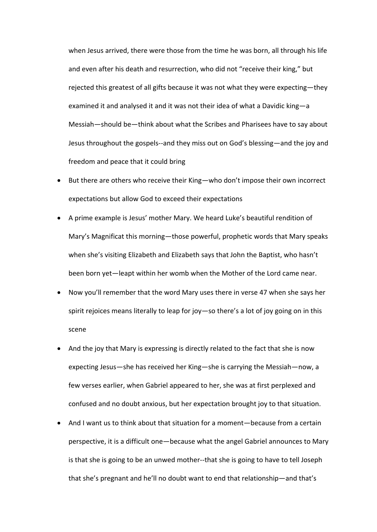when Jesus arrived, there were those from the time he was born, all through his life and even after his death and resurrection, who did not "receive their king," but rejected this greatest of all gifts because it was not what they were expecting—they examined it and analysed it and it was not their idea of what a Davidic king—a Messiah—should be—think about what the Scribes and Pharisees have to say about Jesus throughout the gospels--and they miss out on God's blessing—and the joy and freedom and peace that it could bring

- But there are others who receive their King—who don't impose their own incorrect expectations but allow God to exceed their expectations
- A prime example is Jesus' mother Mary. We heard Luke's beautiful rendition of Mary's Magnificat this morning—those powerful, prophetic words that Mary speaks when she's visiting Elizabeth and Elizabeth says that John the Baptist, who hasn't been born yet—leapt within her womb when the Mother of the Lord came near.
- Now you'll remember that the word Mary uses there in verse 47 when she says her spirit rejoices means literally to leap for joy—so there's a lot of joy going on in this scene
- And the joy that Mary is expressing is directly related to the fact that she is now expecting Jesus—she has received her King—she is carrying the Messiah—now, a few verses earlier, when Gabriel appeared to her, she was at first perplexed and confused and no doubt anxious, but her expectation brought joy to that situation.
- And I want us to think about that situation for a moment—because from a certain perspective, it is a difficult one—because what the angel Gabriel announces to Mary is that she is going to be an unwed mother--that she is going to have to tell Joseph that she's pregnant and he'll no doubt want to end that relationship—and that's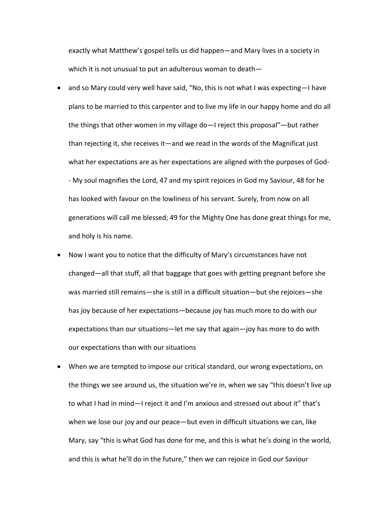exactly what Matthew's gospel tells us did happen—and Mary lives in a society in which it is not unusual to put an adulterous woman to death—

- and so Mary could very well have said, "No, this is not what I was expecting—I have plans to be married to this carpenter and to live my life in our happy home and do all the things that other women in my village do—I reject this proposal"—but rather than rejecting it, she receives it—and we read in the words of the Magnificat just what her expectations are as her expectations are aligned with the purposes of God- - My soul magnifies the Lord, 47 and my spirit rejoices in God my Saviour, 48 for he has looked with favour on the lowliness of his servant. Surely, from now on all generations will call me blessed; 49 for the Mighty One has done great things for me, and holy is his name.
- Now I want you to notice that the difficulty of Mary's circumstances have not changed—all that stuff, all that baggage that goes with getting pregnant before she was married still remains—she is still in a difficult situation—but she rejoices—she has joy because of her expectations—because joy has much more to do with our expectations than our situations—let me say that again—joy has more to do with our expectations than with our situations
- When we are tempted to impose our critical standard, our wrong expectations, on the things we see around us, the situation we're in, when we say "this doesn't live up to what I had in mind—I reject it and I'm anxious and stressed out about it" that's when we lose our joy and our peace—but even in difficult situations we can, like Mary, say "this is what God has done for me, and this is what he's doing in the world, and this is what he'll do in the future," then we can rejoice in God our Saviour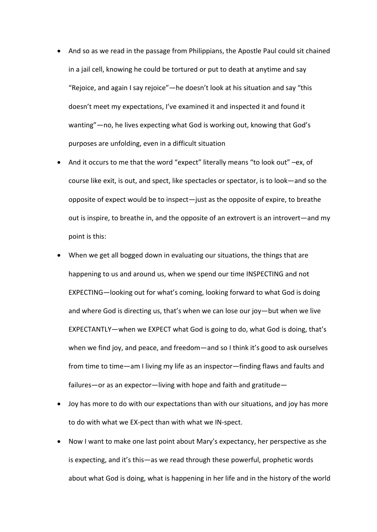- And so as we read in the passage from Philippians, the Apostle Paul could sit chained in a jail cell, knowing he could be tortured or put to death at anytime and say "Rejoice, and again I say rejoice"—he doesn't look at his situation and say "this doesn't meet my expectations, I've examined it and inspected it and found it wanting"—no, he lives expecting what God is working out, knowing that God's purposes are unfolding, even in a difficult situation
- And it occurs to me that the word "expect" literally means "to look out" –ex, of course like exit, is out, and spect, like spectacles or spectator, is to look—and so the opposite of expect would be to inspect—just as the opposite of expire, to breathe out is inspire, to breathe in, and the opposite of an extrovert is an introvert—and my point is this:
- When we get all bogged down in evaluating our situations, the things that are happening to us and around us, when we spend our time INSPECTING and not EXPECTING—looking out for what's coming, looking forward to what God is doing and where God is directing us, that's when we can lose our joy—but when we live EXPECTANTLY—when we EXPECT what God is going to do, what God is doing, that's when we find joy, and peace, and freedom—and so I think it's good to ask ourselves from time to time—am I living my life as an inspector—finding flaws and faults and failures—or as an expector—living with hope and faith and gratitude—
- Joy has more to do with our expectations than with our situations, and joy has more to do with what we EX-pect than with what we IN-spect.
- Now I want to make one last point about Mary's expectancy, her perspective as she is expecting, and it's this—as we read through these powerful, prophetic words about what God is doing, what is happening in her life and in the history of the world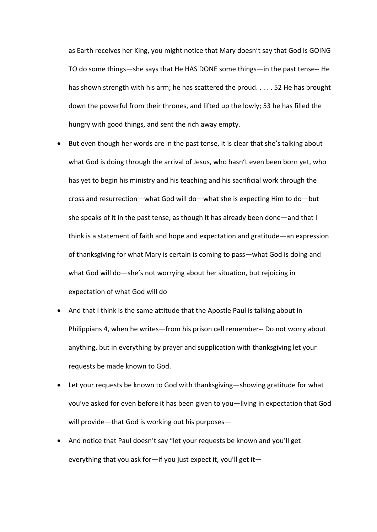as Earth receives her King, you might notice that Mary doesn't say that God is GOING TO do some things—she says that He HAS DONE some things—in the past tense-- He has shown strength with his arm; he has scattered the proud. . . . . 52 He has brought down the powerful from their thrones, and lifted up the lowly; 53 he has filled the hungry with good things, and sent the rich away empty.

- But even though her words are in the past tense, it is clear that she's talking about what God is doing through the arrival of Jesus, who hasn't even been born yet, who has yet to begin his ministry and his teaching and his sacrificial work through the cross and resurrection—what God will do—what she is expecting Him to do—but she speaks of it in the past tense, as though it has already been done—and that I think is a statement of faith and hope and expectation and gratitude—an expression of thanksgiving for what Mary is certain is coming to pass—what God is doing and what God will do—she's not worrying about her situation, but rejoicing in expectation of what God will do
- And that I think is the same attitude that the Apostle Paul is talking about in Philippians 4, when he writes—from his prison cell remember-- Do not worry about anything, but in everything by prayer and supplication with thanksgiving let your requests be made known to God.
- Let your requests be known to God with thanksgiving—showing gratitude for what you've asked for even before it has been given to you—living in expectation that God will provide—that God is working out his purposes—
- And notice that Paul doesn't say "let your requests be known and you'll get everything that you ask for—if you just expect it, you'll get it—